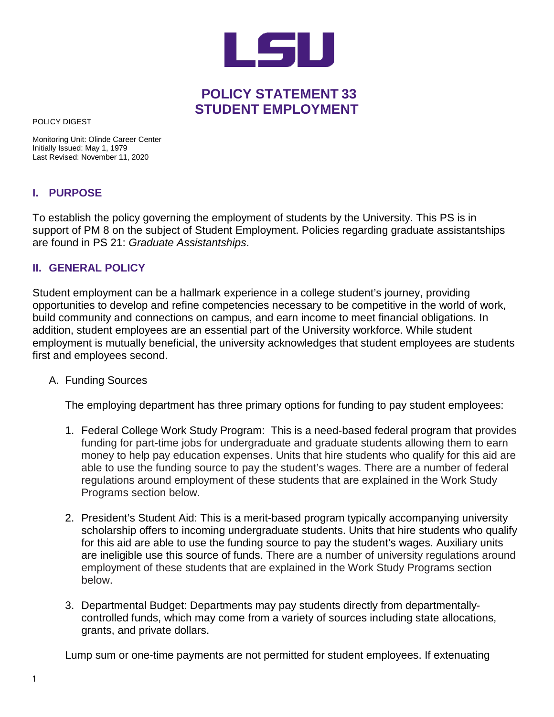

## **POLICY STATEMENT 33 STUDENT EMPLOYMENT**

POLICY DIGEST

Monitoring Unit: Olinde Career Center Initially Issued: May 1, 1979 Last Revised: November 11, 2020

## **I. PURPOSE**

To establish the policy governing the employment of students by the University. This PS is in support of PM 8 on the subject of Student Employment. Policies regarding graduate assistantships are found in PS 21: *Graduate Assistantships*.

## **II. GENERAL POLICY**

Student employment can be a hallmark experience in a college student's journey, providing opportunities to develop and refine competencies necessary to be competitive in the world of work, build community and connections on campus, and earn income to meet financial obligations. In addition, student employees are an essential part of the University workforce. While student employment is mutually beneficial, the university acknowledges that student employees are students first and employees second.

A. Funding Sources

The employing department has three primary options for funding to pay student employees:

- 1. Federal College Work Study Program: This is a need-based federal program that provides funding for part-time jobs for undergraduate and graduate students allowing them to earn money to help pay education expenses. Units that hire students who qualify for this aid are able to use the funding source to pay the student's wages. There are a number of federal regulations around employment of these students that are explained in the Work Study Programs section below.
- 2. President's Student Aid: This is a merit-based program typically accompanying university scholarship offers to incoming undergraduate students. Units that hire students who qualify for this aid are able to use the funding source to pay the student's wages. Auxiliary units are ineligible use this source of funds. There are a number of university regulations around employment of these students that are explained in the Work Study Programs section below.
- 3. Departmental Budget: Departments may pay students directly from departmentallycontrolled funds, which may come from a variety of sources including state allocations, grants, and private dollars.

Lump sum or one-time payments are not permitted for student employees. If extenuating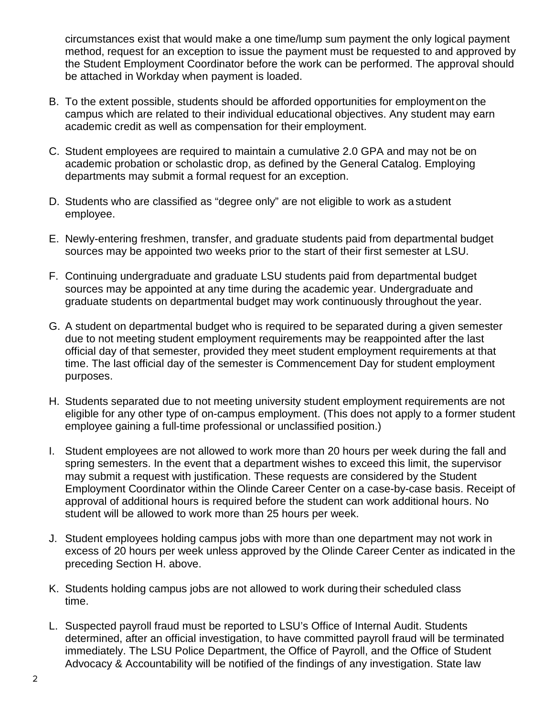circumstances exist that would make a one time/lump sum payment the only logical payment method, request for an exception to issue the payment must be requested to and approved by the Student Employment Coordinator before the work can be performed. The approval should be attached in Workday when payment is loaded.

- B. To the extent possible, students should be afforded opportunities for employmenton the campus which are related to their individual educational objectives. Any student may earn academic credit as well as compensation for their employment.
- C. Student employees are required to maintain a cumulative 2.0 GPA and may not be on academic probation or scholastic drop, as defined by the General Catalog. Employing departments may submit a formal request for an exception.
- D. Students who are classified as "degree only" are not eligible to work as a student employee.
- E. Newly-entering freshmen, transfer, and graduate students paid from departmental budget sources may be appointed two weeks prior to the start of their first semester at LSU.
- F. Continuing undergraduate and graduate LSU students paid from departmental budget sources may be appointed at any time during the academic year. Undergraduate and graduate students on departmental budget may work continuously throughout the year.
- G. A student on departmental budget who is required to be separated during a given semester due to not meeting student employment requirements may be reappointed after the last official day of that semester, provided they meet student employment requirements at that time. The last official day of the semester is Commencement Day for student employment purposes.
- H. Students separated due to not meeting university student employment requirements are not eligible for any other type of on-campus employment. (This does not apply to a former student employee gaining a full-time professional or unclassified position.)
- I. Student employees are not allowed to work more than 20 hours per week during the fall and spring semesters. In the event that a department wishes to exceed this limit, the supervisor may submit a request with justification. These requests are considered by the Student Employment Coordinator within the Olinde Career Center on a case-by-case basis. Receipt of approval of additional hours is required before the student can work additional hours. No student will be allowed to work more than 25 hours per week.
- J. Student employees holding campus jobs with more than one department may not work in excess of 20 hours per week unless approved by the Olinde Career Center as indicated in the preceding Section H. above.
- K. Students holding campus jobs are not allowed to work during their scheduled class time.
- L. Suspected payroll fraud must be reported to LSU's Office of Internal Audit. Students determined, after an official investigation, to have committed payroll fraud will be terminated immediately. The LSU Police Department, the Office of Payroll, and the Office of Student Advocacy & Accountability will be notified of the findings of any investigation. State law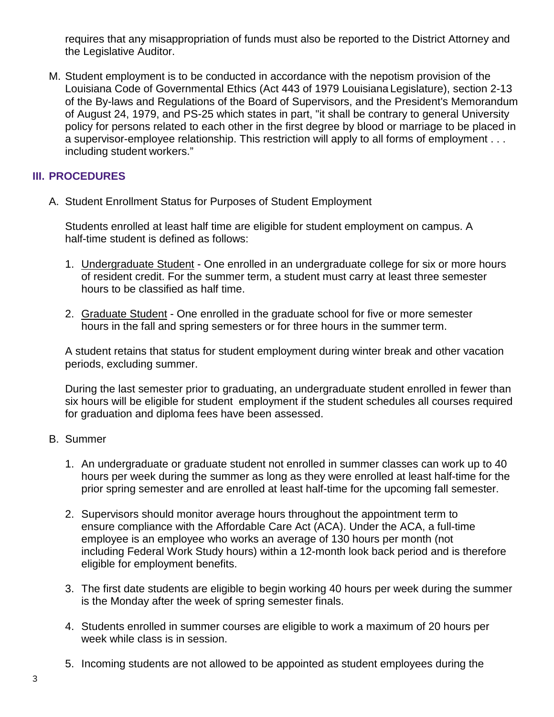requires that any misappropriation of funds must also be reported to the District Attorney and the Legislative Auditor.

M. Student employment is to be conducted in accordance with the nepotism provision of the Louisiana Code of Governmental Ethics (Act 443 of 1979 Louisiana Legislature), section 2-13 of the By-laws and Regulations of the Board of Supervisors, and the President's Memorandum of August 24, 1979, and PS-25 which states in part, "it shall be contrary to general University policy for persons related to each other in the first degree by blood or marriage to be placed in a supervisor-employee relationship. This restriction will apply to all forms of employment . . . including student workers."

## **III. PROCEDURES**

A. Student Enrollment Status for Purposes of Student Employment

Students enrolled at least half time are eligible for student employment on campus. A half-time student is defined as follows:

- 1. Undergraduate Student One enrolled in an undergraduate college for six or more hours of resident credit. For the summer term, a student must carry at least three semester hours to be classified as half time.
- 2. Graduate Student One enrolled in the graduate school for five or more semester hours in the fall and spring semesters or for three hours in the summer term.

A student retains that status for student employment during winter break and other vacation periods, excluding summer.

During the last semester prior to graduating, an undergraduate student enrolled in fewer than six hours will be eligible for student employment if the student schedules all courses required for graduation and diploma fees have been assessed.

- B. Summer
	- 1. An undergraduate or graduate student not enrolled in summer classes can work up to 40 hours per week during the summer as long as they were enrolled at least half-time for the prior spring semester and are enrolled at least half-time for the upcoming fall semester.
	- 2. Supervisors should monitor average hours throughout the appointment term to ensure compliance with the Affordable Care Act (ACA). Under the ACA, a full-time employee is an employee who works an average of 130 hours per month (not including Federal Work Study hours) within a 12-month look back period and is therefore eligible for employment benefits.
	- 3. The first date students are eligible to begin working 40 hours per week during the summer is the Monday after the week of spring semester finals.
	- 4. Students enrolled in summer courses are eligible to work a maximum of 20 hours per week while class is in session.
	- 5. Incoming students are not allowed to be appointed as student employees during the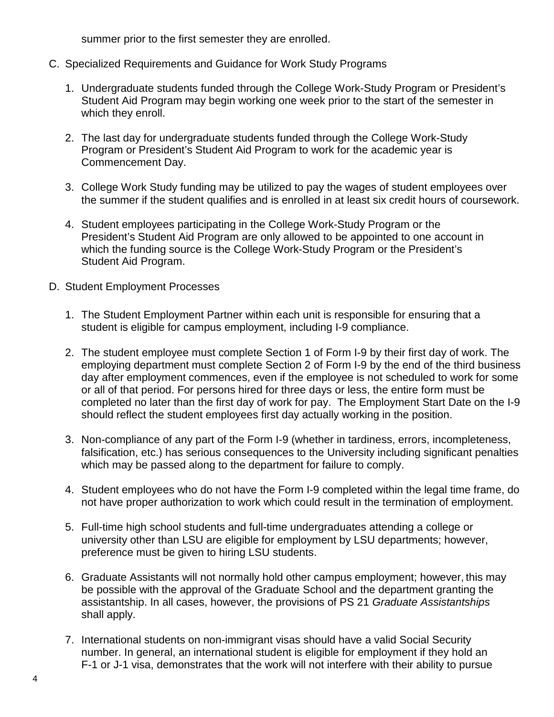summer prior to the first semester they are enrolled.

- C. Specialized Requirements and Guidance for Work Study Programs
	- 1. Undergraduate students funded through the College Work-Study Program or President's Student Aid Program may begin working one week prior to the start of the semester in which they enroll.
	- 2. The last day for undergraduate students funded through the College Work-Study Program or President's Student Aid Program to work for the academic year is Commencement Day.
	- 3. College Work Study funding may be utilized to pay the wages of student employees over the summer if the student qualifies and is enrolled in at least six credit hours of coursework.
	- 4. Student employees participating in the College Work-Study Program or the President's Student Aid Program are only allowed to be appointed to one account in which the funding source is the College Work-Study Program or the President's Student Aid Program.
- D. Student Employment Processes
	- 1. The Student Employment Partner within each unit is responsible for ensuring that a student is eligible for campus employment, including I-9 compliance.
	- 2. The student employee must complete Section 1 of Form I-9 by their first day of work. The employing department must complete Section 2 of Form I-9 by the end of the third business day after employment commences, even if the employee is not scheduled to work for some or all of that period. For persons hired for three days or less, the entire form must be completed no later than the first day of work for pay. The Employment Start Date on the I-9 should reflect the student employees first day actually working in the position.
	- 3. Non-compliance of any part of the Form I-9 (whether in tardiness, errors, incompleteness, falsification, etc.) has serious consequences to the University including significant penalties which may be passed along to the department for failure to comply.
	- 4. Student employees who do not have the Form I-9 completed within the legal time frame, do not have proper authorization to work which could result in the termination of employment.
	- 5. Full-time high school students and full-time undergraduates attending a college or university other than LSU are eligible for employment by LSU departments; however, preference must be given to hiring LSU students.
	- 6. Graduate Assistants will not normally hold other campus employment; however, this may be possible with the approval of the Graduate School and the department granting the assistantship. In all cases, however, the provisions of PS 21 *Graduate Assistantships* shall apply.
	- 7. International students on non-immigrant visas should have a valid Social Security number. In general, an international student is eligible for employment if they hold an F-1 or J-1 visa, demonstrates that the work will not interfere with their ability to pursue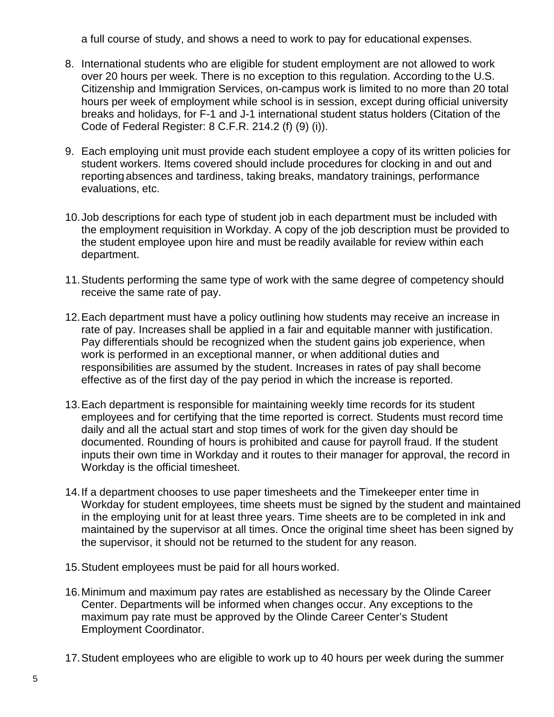a full course of study, and shows a need to work to pay for educational expenses.

- 8. International students who are eligible for student employment are not allowed to work over 20 hours per week. There is no exception to this regulation. According to the U.S. Citizenship and Immigration Services, on-campus work is limited to no more than 20 total hours per week of employment while school is in session, except during official university breaks and holidays, for F-1 and J-1 international student status holders (Citation of the Code of Federal Register: 8 C.F.R. 214.2 (f) (9) (i)).
- 9. Each employing unit must provide each student employee a copy of its written policies for student workers. Items covered should include procedures for clocking in and out and reporting absences and tardiness, taking breaks, mandatory trainings, performance evaluations, etc.
- 10.Job descriptions for each type of student job in each department must be included with the employment requisition in Workday. A copy of the job description must be provided to the student employee upon hire and must be readily available for review within each department.
- 11.Students performing the same type of work with the same degree of competency should receive the same rate of pay.
- 12.Each department must have a policy outlining how students may receive an increase in rate of pay. Increases shall be applied in a fair and equitable manner with justification. Pay differentials should be recognized when the student gains job experience, when work is performed in an exceptional manner, or when additional duties and responsibilities are assumed by the student. Increases in rates of pay shall become effective as of the first day of the pay period in which the increase is reported.
- 13.Each department is responsible for maintaining weekly time records for its student employees and for certifying that the time reported is correct. Students must record time daily and all the actual start and stop times of work for the given day should be documented. Rounding of hours is prohibited and cause for payroll fraud. If the student inputs their own time in Workday and it routes to their manager for approval, the record in Workday is the official timesheet.
- 14.If a department chooses to use paper timesheets and the Timekeeper enter time in Workday for student employees, time sheets must be signed by the student and maintained in the employing unit for at least three years. Time sheets are to be completed in ink and maintained by the supervisor at all times. Once the original time sheet has been signed by the supervisor, it should not be returned to the student for any reason.
- 15.Student employees must be paid for all hours worked.
- 16.Minimum and maximum pay rates are established as necessary by the Olinde Career Center. Departments will be informed when changes occur. Any exceptions to the maximum pay rate must be approved by the Olinde Career Center's Student Employment Coordinator.
- 17.Student employees who are eligible to work up to 40 hours per week during the summer